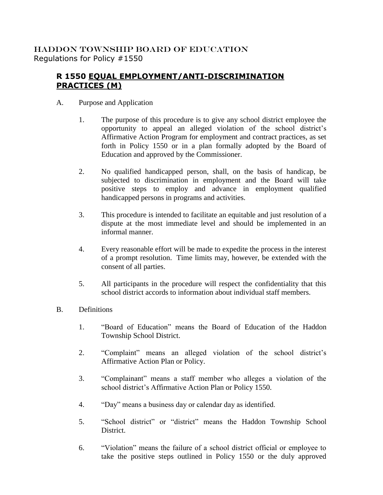## HADDON TOWNSHIP BOARD OF EDUCATION Regulations for Policy #1550

## **R 1550 EQUAL EMPLOYMENT/ANTI-DISCRIMINATION PRACTICES (M)**

- A. Purpose and Application
	- 1. The purpose of this procedure is to give any school district employee the opportunity to appeal an alleged violation of the school district's Affirmative Action Program for employment and contract practices, as set forth in Policy 1550 or in a plan formally adopted by the Board of Education and approved by the Commissioner.
	- 2. No qualified handicapped person, shall, on the basis of handicap, be subjected to discrimination in employment and the Board will take positive steps to employ and advance in employment qualified handicapped persons in programs and activities.
	- 3. This procedure is intended to facilitate an equitable and just resolution of a dispute at the most immediate level and should be implemented in an informal manner.
	- 4. Every reasonable effort will be made to expedite the process in the interest of a prompt resolution. Time limits may, however, be extended with the consent of all parties.
	- 5. All participants in the procedure will respect the confidentiality that this school district accords to information about individual staff members.
- B. Definitions
	- 1. "Board of Education" means the Board of Education of the Haddon Township School District.
	- 2. "Complaint" means an alleged violation of the school district's Affirmative Action Plan or Policy.
	- 3. "Complainant" means a staff member who alleges a violation of the school district's Affirmative Action Plan or Policy 1550.
	- 4. "Day" means a business day or calendar day as identified.
	- 5. "School district" or "district" means the Haddon Township School District.
	- 6. "Violation" means the failure of a school district official or employee to take the positive steps outlined in Policy 1550 or the duly approved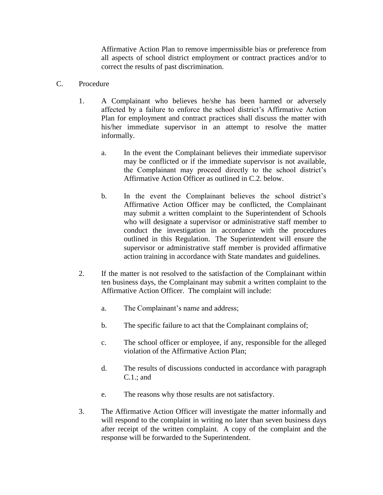Affirmative Action Plan to remove impermissible bias or preference from all aspects of school district employment or contract practices and/or to correct the results of past discrimination.

## C. Procedure

- 1. A Complainant who believes he/she has been harmed or adversely affected by a failure to enforce the school district's Affirmative Action Plan for employment and contract practices shall discuss the matter with his/her immediate supervisor in an attempt to resolve the matter informally.
	- a. In the event the Complainant believes their immediate supervisor may be conflicted or if the immediate supervisor is not available, the Complainant may proceed directly to the school district's Affirmative Action Officer as outlined in C.2. below.
	- b. In the event the Complainant believes the school district's Affirmative Action Officer may be conflicted, the Complainant may submit a written complaint to the Superintendent of Schools who will designate a supervisor or administrative staff member to conduct the investigation in accordance with the procedures outlined in this Regulation. The Superintendent will ensure the supervisor or administrative staff member is provided affirmative action training in accordance with State mandates and guidelines.
- 2. If the matter is not resolved to the satisfaction of the Complainant within ten business days, the Complainant may submit a written complaint to the Affirmative Action Officer. The complaint will include:
	- a. The Complainant's name and address;
	- b. The specific failure to act that the Complainant complains of;
	- c. The school officer or employee, if any, responsible for the alleged violation of the Affirmative Action Plan;
	- d. The results of discussions conducted in accordance with paragraph C.1.; and
	- e. The reasons why those results are not satisfactory.
- 3. The Affirmative Action Officer will investigate the matter informally and will respond to the complaint in writing no later than seven business days after receipt of the written complaint. A copy of the complaint and the response will be forwarded to the Superintendent.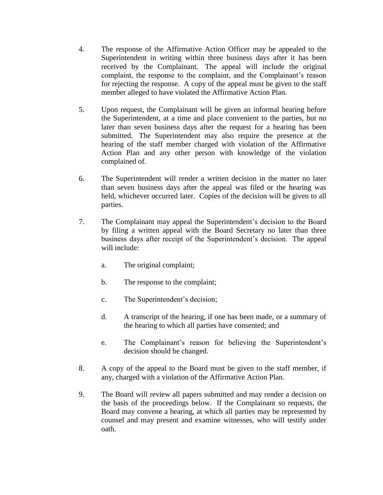- 4. The response of the Affirmative Action Officer may be appealed to the Superintendent in writing within three business days after it has been received by the Complainant. The appeal will include the original complaint, the response to the complaint, and the Complainant's reason for rejecting the response. A copy of the appeal must be given to the staff member alleged to have violated the Affirmative Action Plan.
- 5. Upon request, the Complainant will be given an informal hearing before the Superintendent, at a time and place convenient to the parties, but no later than seven business days after the request for a hearing has been submitted. The Superintendent may also require the presence at the hearing of the staff member charged with violation of the Affirmative Action Plan and any other person with knowledge of the violation complained of.
- 6. The Superintendent will render a written decision in the matter no later than seven business days after the appeal was filed or the hearing was held, whichever occurred later. Copies of the decision will be given to all parties.
- 7. The Complainant may appeal the Superintendent's decision to the Board by filing a written appeal with the Board Secretary no later than three business days after receipt of the Superintendent's decision. The appeal will include:
	- a. The original complaint;
	- b. The response to the complaint;
	- c. The Superintendent's decision;
	- d. A transcript of the hearing, if one has been made, or a summary of the hearing to which all parties have consented; and
	- e. The Complainant's reason for believing the Superintendent's decision should be changed.
- 8. A copy of the appeal to the Board must be given to the staff member, if any, charged with a violation of the Affirmative Action Plan.
- 9. The Board will review all papers submitted and may render a decision on the basis of the proceedings below. If the Complainant so requests, the Board may convene a hearing, at which all parties may be represented by counsel and may present and examine witnesses, who will testify under oath.